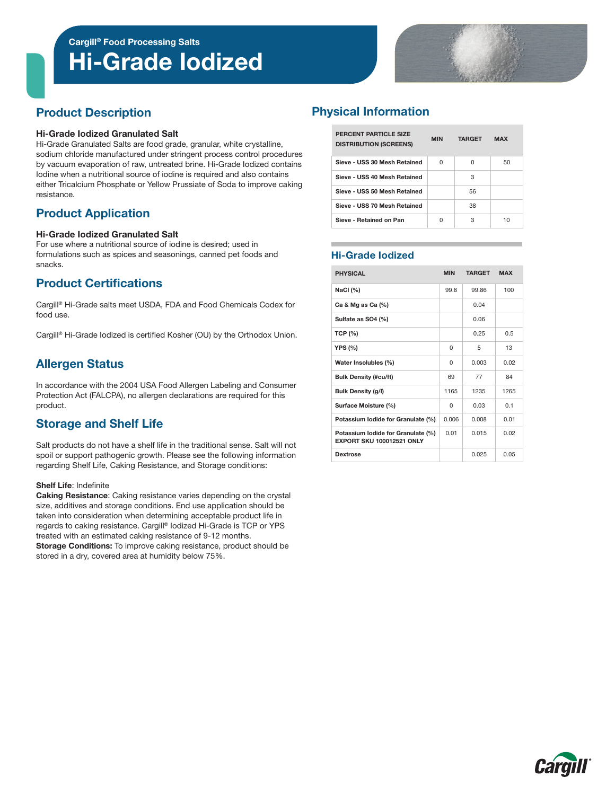Cargill® Food Processing Salts

# Hi-Grade Iodized



# Product Description

#### Hi-Grade Iodized Granulated Salt

Hi-Grade Granulated Salts are food grade, granular, white crystalline, sodium chloride manufactured under stringent process control procedures by vacuum evaporation of raw, untreated brine. Hi-Grade Iodized contains Iodine when a nutritional source of iodine is required and also contains either Tricalcium Phosphate or Yellow Prussiate of Soda to improve caking resistance.

# Product Application

#### Hi-Grade Iodized Granulated Salt

For use where a nutritional source of iodine is desired; used in formulations such as spices and seasonings, canned pet foods and snacks.

# Product Certifications

Cargill® Hi-Grade salts meet USDA, FDA and Food Chemicals Codex for food use.

Cargill® Hi-Grade Iodized is certified Kosher (OU) by the Orthodox Union.

# Allergen Status

In accordance with the 2004 USA Food Allergen Labeling and Consumer Protection Act (FALCPA), no allergen declarations are required for this product.

# Storage and Shelf Life

Salt products do not have a shelf life in the traditional sense. Salt will not spoil or support pathogenic growth. Please see the following information regarding Shelf Life, Caking Resistance, and Storage conditions:

#### Shelf Life: Indefinite

Caking Resistance: Caking resistance varies depending on the crystal size, additives and storage conditions. End use application should be taken into consideration when determining acceptable product life in regards to caking resistance. Cargill® Iodized Hi-Grade is TCP or YPS treated with an estimated caking resistance of 9-12 months. Storage Conditions: To improve caking resistance, product should be stored in a dry, covered area at humidity below 75%.

# Physical Information

| PERCENT PARTICLE SIZE<br><b>DISTRIBUTION (SCREENS)</b> | <b>MIN</b> | <b>TARGET</b> | <b>MAX</b> |
|--------------------------------------------------------|------------|---------------|------------|
| Sieve - USS 30 Mesh Retained                           | U          | O             | 50         |
| Sieve - USS 40 Mesh Retained                           |            | з             |            |
| Sieve - USS 50 Mesh Retained                           |            | 56            |            |
| Sieve - USS 70 Mesh Retained                           |            | 38            |            |
| Sieve - Retained on Pan                                | U          | 3             | 10         |

### Hi-Grade Iodized

| <b>PHYSICAL</b>                                                        | <b>MIN</b>   | <b>TARGET</b> | <b>MAX</b> |
|------------------------------------------------------------------------|--------------|---------------|------------|
| NaCl $(%)$                                                             | 99.8         | 99.86         | 100        |
| Ca & Mg as Ca $(%)$                                                    |              | 0.04          |            |
| Sulfate as SO4 (%)                                                     |              | 0.06          |            |
| <b>TCP (%)</b>                                                         |              | 0.25          | 0.5        |
| YPS (%)                                                                | $\Omega$     | 5             | 1.3        |
| Water Insolubles (%)                                                   | $\Omega$     | 0.003         | 0.02       |
| <b>Bulk Density (#cu/ft)</b>                                           | 69           | 77            | 84         |
| Bulk Density (g/l)                                                     | 1165         | 1235          | 1265       |
| Surface Moisture (%)                                                   | <sup>0</sup> | 0.03          | 0.1        |
| Potassium lodide for Granulate (%)                                     | 0.006        | 0.008         | 0.01       |
| Potassium lodide for Granulate (%)<br><b>EXPORT SKU 100012521 ONLY</b> | 0.01         | 0.015         | 0.02       |
| <b>Dextrose</b>                                                        |              | 0.025         | 0.05       |